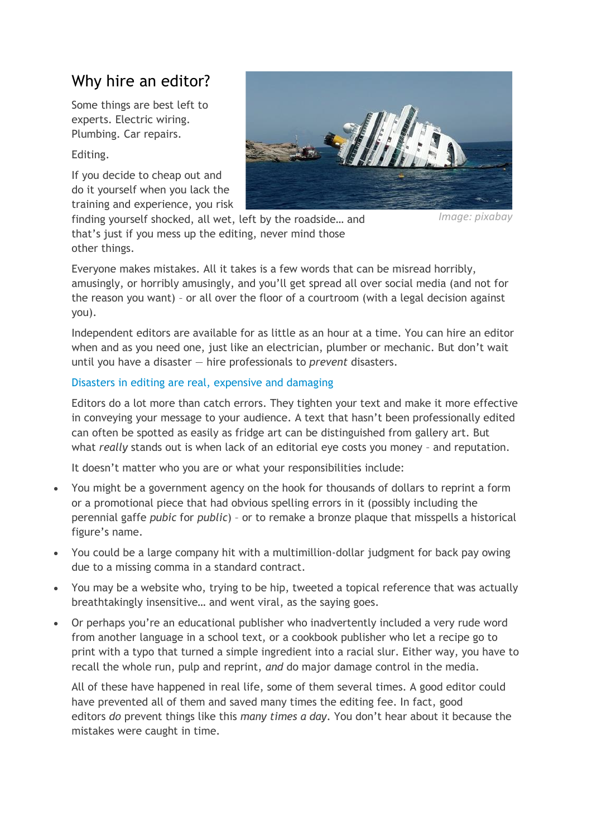# Why hire an editor?

Some things are best left to experts. Electric wiring. Plumbing. Car repairs.

Editing.

If you decide to cheap out and do it yourself when you lack the training and experience, you risk



*Image: pixabay*

finding yourself shocked, all wet, left by the roadside… and that's just if you mess up the editing, never mind those other things.

Everyone makes mistakes. All it takes is a few words that can be misread horribly, amusingly, or horribly amusingly, and you'll get spread all over social media (and not for the reason you want) – or all over the floor of a courtroom (with a legal decision against you).

Independent editors are available for as little as an hour at a time. You can hire an editor when and as you need one, just like an electrician, plumber or mechanic. But don't wait until you have a disaster — hire professionals to *prevent* disasters.

## Disasters in editing are real, expensive and damaging

Editors do a lot more than catch errors. They tighten your text and make it more effective in conveying your message to your audience. A text that hasn't been professionally edited can often be spotted as easily as fridge art can be distinguished from gallery art. But what *really* stands out is when lack of an editorial eye costs you money – and reputation.

It doesn't matter who you are or what your responsibilities include:

- You might be a government agency on the hook for thousands of dollars to reprint a form or a promotional piece that had obvious spelling errors in it (possibly including the perennial gaffe *pubic* for *public*) – or to remake a bronze plaque that misspells a historical figure's name.
- You could be a large company hit with a multimillion-dollar judgment for back pay owing due to a missing comma in a standard contract.
- You may be a website who, trying to be hip, tweeted a topical reference that was actually breathtakingly insensitive… and went viral, as the saying goes.
- Or perhaps you're an educational publisher who inadvertently included a very rude word from another language in a school text, or a cookbook publisher who let a recipe go to print with a typo that turned a simple ingredient into a racial slur. Either way, you have to recall the whole run, pulp and reprint, *and* do major damage control in the media.

All of these have happened in real life, some of them several times. A good editor could have prevented all of them and saved many times the editing fee. In fact, good editors *do* prevent things like this *many times a day*. You don't hear about it because the mistakes were caught in time.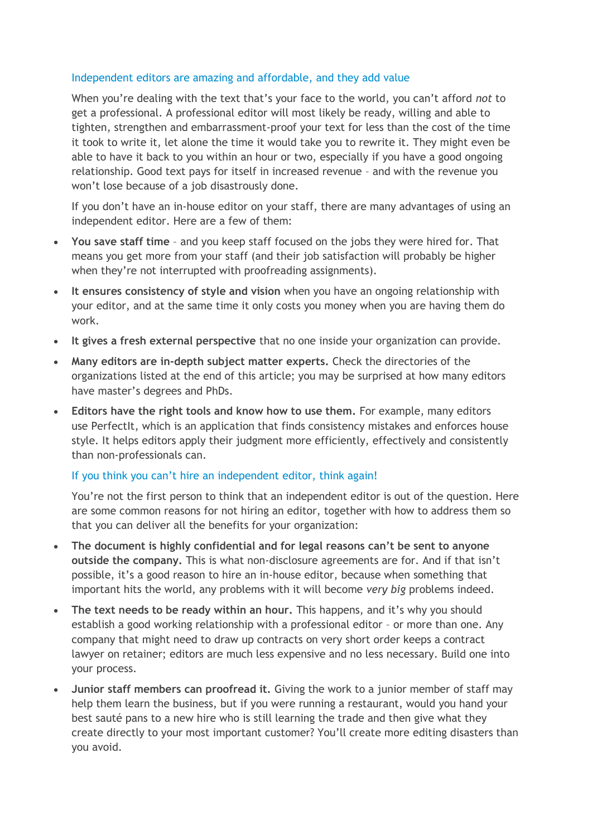### Independent editors are amazing and affordable, and they add value

When you're dealing with the text that's your face to the world, you can't afford *not* to get a professional. A professional editor will most likely be ready, willing and able to tighten, strengthen and embarrassment-proof your text for less than the cost of the time it took to write it, let alone the time it would take you to rewrite it. They might even be able to have it back to you within an hour or two, especially if you have a good ongoing relationship. Good text pays for itself in increased revenue – and with the revenue you won't lose because of a job disastrously done.

If you don't have an in-house editor on your staff, there are many advantages of using an independent editor. Here are a few of them:

- **You save staff time** and you keep staff focused on the jobs they were hired for. That means you get more from your staff (and their job satisfaction will probably be higher when they're not interrupted with proofreading assignments).
- **It ensures consistency of style and vision** when you have an ongoing relationship with your editor, and at the same time it only costs you money when you are having them do work.
- **It gives a fresh external perspective** that no one inside your organization can provide.
- **Many editors are in-depth subject matter experts.** Check the directories of the organizations listed at the end of this article; you may be surprised at how many editors have master's degrees and PhDs.
- **Editors have the right tools and know how to use them.** For example, many editors use PerfectIt, which is an application that finds consistency mistakes and enforces house style. It helps editors apply their judgment more efficiently, effectively and consistently than non-professionals can.

#### If you think you can't hire an independent editor, think again!

You're not the first person to think that an independent editor is out of the question. Here are some common reasons for not hiring an editor, together with how to address them so that you can deliver all the benefits for your organization:

- **The document is highly confidential and for legal reasons can't be sent to anyone outside the company.** This is what non-disclosure agreements are for. And if that isn't possible, it's a good reason to hire an in-house editor, because when something that important hits the world, any problems with it will become *very big* problems indeed.
- **The text needs to be ready within an hour.** This happens, and it's why you should establish a good working relationship with a professional editor – or more than one. Any company that might need to draw up contracts on very short order keeps a contract lawyer on retainer; editors are much less expensive and no less necessary. Build one into your process.
- **Junior staff members can proofread it.** Giving the work to a junior member of staff may help them learn the business, but if you were running a restaurant, would you hand your best sauté pans to a new hire who is still learning the trade and then give what they create directly to your most important customer? You'll create more editing disasters than you avoid.